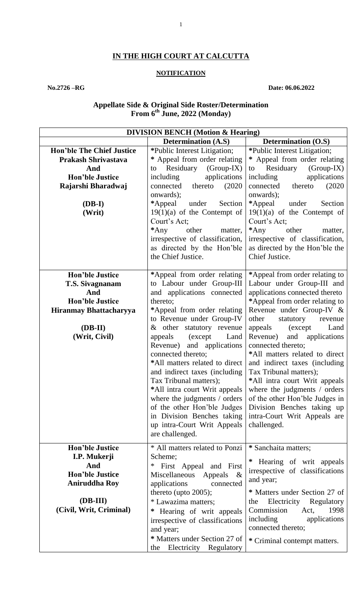# **IN THE HIGH COURT AT CALCUTTA**

## **NOTIFICATION**

**No.2726 –RG Date: 06.06.2022**

#### **Appellate Side & Original Side Roster/Determination From 6 th June, 2022 (Monday)**

| <b>DIVISION BENCH</b> (Motion & Hearing) |                                                      |                                                      |
|------------------------------------------|------------------------------------------------------|------------------------------------------------------|
|                                          | <b>Determination (A.S)</b>                           | <b>Determination (O.S)</b>                           |
| <b>Hon'ble The Chief Justice</b>         | *Public Interest Litigation;                         | *Public Interest Litigation;                         |
| Prakash Shrivastava                      | * Appeal from order relating                         | * Appeal from order relating                         |
| And                                      | to Residuary (Group-IX)                              | Residuary<br>$(Group-IX)$<br>to                      |
| <b>Hon'ble Justice</b>                   | applications<br>including                            | applications<br>including                            |
| Rajarshi Bharadwaj                       | thereto<br>(2020)<br>connected                       | thereto<br>(2020)<br>connected                       |
|                                          | onwards);                                            | onwards);                                            |
| $(DB-I)$                                 | *Appeal<br>under<br>Section                          | *Appeal<br>Section<br>under                          |
| (Writ)                                   | $19(1)(a)$ of the Contempt of                        | $19(1)(a)$ of the Contempt of                        |
|                                          | Court's Act;                                         | Court's Act;                                         |
|                                          | $*$ Any<br>other<br>matter,                          | $*$ Any<br>other<br>matter,                          |
|                                          | irrespective of classification,                      | irrespective of classification,                      |
|                                          | as directed by the Hon'ble                           | as directed by the Hon'ble the                       |
|                                          | the Chief Justice.                                   | Chief Justice.                                       |
|                                          |                                                      |                                                      |
| <b>Hon'ble Justice</b>                   | *Appeal from order relating                          | *Appeal from order relating to                       |
| T.S. Sivagnanam                          | to Labour under Group-III                            | Labour under Group-III and                           |
| And                                      | and applications connected                           | applications connected thereto                       |
| <b>Hon'ble Justice</b>                   | thereto;                                             | *Appeal from order relating to                       |
| Hiranmay Bhattacharyya                   | *Appeal from order relating                          | Revenue under Group-IV &                             |
|                                          | to Revenue under Group-IV                            | other<br>statutory<br>revenue                        |
| $(DB-II)$                                | & other statutory revenue                            | Land<br>appeals<br>(except                           |
|                                          | appeals<br>(except)<br>Land                          | Revenue) and<br>applications                         |
| (Writ, Civil)                            |                                                      |                                                      |
|                                          | Revenue) and applications                            | connected thereto;<br>*All matters related to direct |
|                                          | connected thereto;<br>*All matters related to direct |                                                      |
|                                          |                                                      | and indirect taxes (including                        |
|                                          | and indirect taxes (including                        | Tax Tribunal matters);                               |
|                                          | Tax Tribunal matters);                               | *All intra court Writ appeals                        |
|                                          | *All intra court Writ appeals                        | where the judgments / orders                         |
|                                          | where the judgments / orders                         | of the other Hon'ble Judges in                       |
|                                          | of the other Hon'ble Judges                          | Division Benches taking up                           |
|                                          | in Division Benches taking                           | intra-Court Writ Appeals are                         |
|                                          | up intra-Court Writ Appeals                          | challenged.                                          |
|                                          | are challenged.                                      |                                                      |
| <b>Hon'ble Justice</b>                   | * All matters related to Ponzi                       | * Sanchaita matters;                                 |
| I.P. Mukerji                             | Scheme;                                              |                                                      |
| And                                      | First Appeal and First<br>$\ast$                     | Hearing of writ appeals                              |
| <b>Hon'ble Justice</b>                   | Miscellaneous<br>Appeals<br>$-\&$                    | irrespective of classifications                      |
| <b>Aniruddha Roy</b>                     | applications<br>connected                            | and year;                                            |
|                                          | thereto (upto $2005$ );                              | * Matters under Section 27 of                        |
| (DB-III)                                 | * Lawazima matters;                                  | Electricity Regulatory<br>the                        |
| (Civil, Writ, Criminal)                  |                                                      | Commission<br>1998<br>Act,                           |
|                                          | Hearing of writ appeals<br>∗                         |                                                      |
|                                          | irrespective of classifications                      | including<br>applications                            |
|                                          | and year;                                            | connected thereto;                                   |
|                                          | * Matters under Section 27 of                        | * Criminal contempt matters.                         |
|                                          | Electricity Regulatory<br>the                        |                                                      |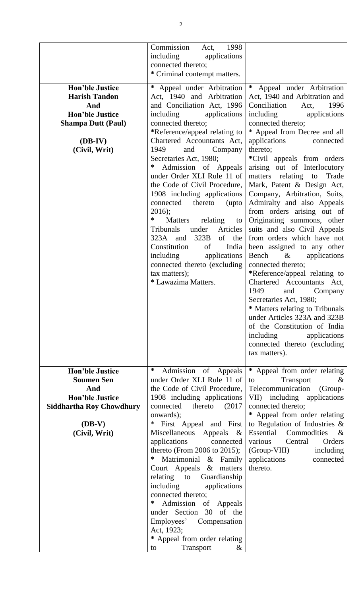| <b>Hon'ble Justice</b><br><b>Harish Tandon</b><br>And<br><b>Hon'ble Justice</b><br><b>Shampa Dutt (Paul)</b><br>$(DB-IV)$<br>(Civil, Writ)   | Commission<br>1998<br>Act,<br>including<br>applications<br>connected thereto;<br>* Criminal contempt matters.<br>* Appeal under Arbitration<br>Act, 1940 and Arbitration<br>and Conciliation Act, 1996<br>including<br>applications<br>connected thereto;<br>*Reference/appeal relating to<br>Chartered Accountants Act,<br>1949<br>and<br>Company<br>Secretaries Act, 1980;<br>∗<br>Admission of Appeals<br>under Order XLI Rule 11 of                                                                                                                                                                       | * Appeal under Arbitration<br>Act, 1940 and Arbitration and<br>Conciliation<br>1996<br>Act,<br>including<br>applications<br>connected thereto;<br>* Appeal from Decree and all<br>applications<br>connected<br>thereto;<br>*Civil appeals from orders<br>arising out of Interlocutory<br>matters relating to Trade                                                                                                                                                                                                                                                                                          |
|----------------------------------------------------------------------------------------------------------------------------------------------|---------------------------------------------------------------------------------------------------------------------------------------------------------------------------------------------------------------------------------------------------------------------------------------------------------------------------------------------------------------------------------------------------------------------------------------------------------------------------------------------------------------------------------------------------------------------------------------------------------------|-------------------------------------------------------------------------------------------------------------------------------------------------------------------------------------------------------------------------------------------------------------------------------------------------------------------------------------------------------------------------------------------------------------------------------------------------------------------------------------------------------------------------------------------------------------------------------------------------------------|
|                                                                                                                                              | the Code of Civil Procedure,<br>1908 including applications<br>thereto<br>connected<br>(upto<br>$2016$ ;<br>∗<br><b>Matters</b><br>relating<br>to<br>Tribunals<br>under<br>Articles<br>323B<br>of the<br>323A and<br>Constitution<br>India<br>of<br>including<br>applications<br>connected thereto (excluding<br>tax matters);<br>* Lawazima Matters.                                                                                                                                                                                                                                                         | Mark, Patent & Design Act,<br>Company, Arbitration, Suits,<br>Admiralty and also Appeals<br>from orders arising out of<br>Originating summons, other<br>suits and also Civil Appeals<br>from orders which have not<br>been assigned to any other<br>Bench<br>$\&$<br>applications<br>connected thereto;<br>*Reference/appeal relating to<br>Chartered Accountants Act,<br>1949<br>and<br>Company<br>Secretaries Act, 1980;<br>* Matters relating to Tribunals<br>under Articles 323A and 323B<br>of the Constitution of India<br>including<br>applications<br>connected thereto (excluding<br>tax matters). |
| <b>Hon'ble Justice</b><br><b>Soumen Sen</b><br>And<br><b>Hon'ble Justice</b><br><b>Siddhartha Roy Chowdhury</b><br>$(DB-V)$<br>(Civil, Writ) | ∗<br>Admission of Appeals<br>under Order XLI Rule 11 of<br>the Code of Civil Procedure,<br>1908 including applications<br>connected<br>thereto<br>(2017)<br>onwards);<br>First Appeal and First<br>$\ast$<br>Miscellaneous<br>Appeals<br>$\&$<br>applications<br>connected<br>thereto (From 2006 to 2015);<br>Matrimonial & Family<br>∗<br>Court Appeals & matters<br>Guardianship<br>relating to<br>including<br>applications<br>connected thereto;<br>Admission of Appeals<br>∗<br>under Section 30 of the<br>Employees' Compensation<br>Act, 1923;<br>* Appeal from order relating<br>Transport<br>&<br>to | * Appeal from order relating<br>Transport<br>$\&$<br>to<br>Telecommunication<br>(Group-<br>VII) including applications<br>connected thereto;<br>* Appeal from order relating<br>to Regulation of Industries $\&$<br>Essential<br>Commodities<br>$\&$<br>various<br>Central<br>Orders<br>(Group-VIII)<br>including<br>applications<br>connected<br>thereto.                                                                                                                                                                                                                                                  |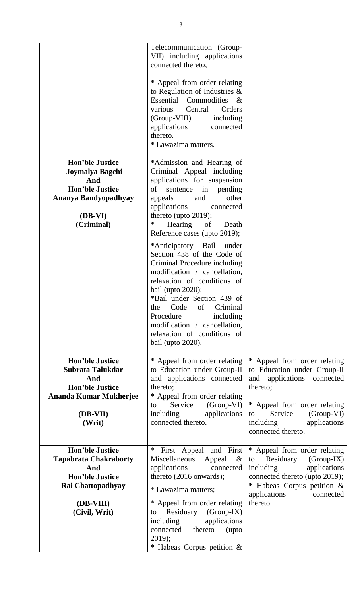|                                                                                                                             | Telecommunication (Group-<br>VII) including applications<br>connected thereto;                                                                                                                                                                                                                                                                             |                                                                                                                                                                                         |
|-----------------------------------------------------------------------------------------------------------------------------|------------------------------------------------------------------------------------------------------------------------------------------------------------------------------------------------------------------------------------------------------------------------------------------------------------------------------------------------------------|-----------------------------------------------------------------------------------------------------------------------------------------------------------------------------------------|
|                                                                                                                             | * Appeal from order relating<br>to Regulation of Industries $\&$<br>Essential Commodities<br>$\alpha$<br>various<br>Central<br>Orders<br>(Group-VIII)<br>including<br>applications<br>connected<br>thereto.<br>* Lawazima matters.                                                                                                                         |                                                                                                                                                                                         |
| <b>Hon'ble Justice</b><br>Joymalya Bagchi<br>And<br><b>Hon'ble Justice</b><br>Ananya Bandyopadhyay<br>(DB-VI)<br>(Criminal) | *Admission and Hearing of<br>Criminal Appeal including<br>applications for suspension<br>of<br>sentence<br>in pending<br>and<br>other<br>appeals<br>applications<br>connected<br>thereto (upto $2019$ );<br>∗<br>Hearing<br>of<br>Death<br>Reference cases (upto 2019);                                                                                    |                                                                                                                                                                                         |
|                                                                                                                             | *Anticipatory Bail<br>under<br>Section 438 of the Code of<br>Criminal Procedure including<br>modification / cancellation,<br>relaxation of conditions of<br>bail (upto 2020);<br>*Bail under Section 439 of<br>Criminal<br>the<br>Code<br>of<br>Procedure<br>including<br>modification / cancellation,<br>relaxation of conditions of<br>bail (upto 2020). |                                                                                                                                                                                         |
| <b>Hon'ble Justice</b><br>Subrata Talukdar<br>And<br><b>Hon'ble Justice</b><br><b>Ananda Kumar Mukherjee</b><br>(DB-VII)    | * Appeal from order relating<br>to Education under Group-II<br>and applications connected<br>thereto;<br>* Appeal from order relating<br>Service<br>$(Group-VI)$<br>to<br>applications<br>including                                                                                                                                                        | * Appeal from order relating<br>to Education under Group-II<br>and applications<br>connected<br>thereto;<br>* Appeal from order relating<br>(Group-VI)<br>Service<br>to                 |
| (Writ)                                                                                                                      | connected thereto.                                                                                                                                                                                                                                                                                                                                         | including<br>applications<br>connected thereto.                                                                                                                                         |
| <b>Hon'ble Justice</b><br><b>Tapabrata Chakraborty</b><br>And<br><b>Hon'ble Justice</b><br><b>Rai Chattopadhyay</b>         | ∗<br>First Appeal<br>and First<br>Miscellaneous<br>Appeal<br>$\&$<br>applications<br>connected<br>thereto $(2016$ onwards);<br>* Lawazima matters;                                                                                                                                                                                                         | * Appeal from order relating<br>Residuary<br>(Group-IX)<br>to<br>applications<br>including<br>connected thereto (upto 2019);<br>* Habeas Corpus petition &<br>applications<br>connected |
| (DB-VIII)<br>(Civil, Writ)                                                                                                  | * Appeal from order relating<br>Residuary<br>(Group-IX)<br>to<br>applications<br>including<br>connected<br>thereto<br>(upto<br>$2019$ ;<br>* Habeas Corpus petition &                                                                                                                                                                                      | thereto.                                                                                                                                                                                |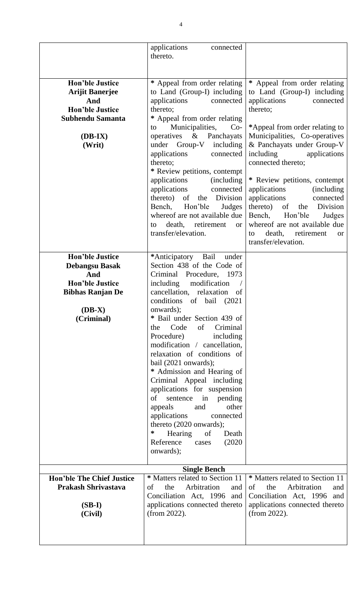|                                                                                                                                       | applications<br>connected<br>thereto.                                                                                                                                                                                                                                                                                                                                                                                                                                                                                                                                                                                                                                          |                                                                                                                                                                                                                                                                                                                                                                                                                                                                                                                                    |
|---------------------------------------------------------------------------------------------------------------------------------------|--------------------------------------------------------------------------------------------------------------------------------------------------------------------------------------------------------------------------------------------------------------------------------------------------------------------------------------------------------------------------------------------------------------------------------------------------------------------------------------------------------------------------------------------------------------------------------------------------------------------------------------------------------------------------------|------------------------------------------------------------------------------------------------------------------------------------------------------------------------------------------------------------------------------------------------------------------------------------------------------------------------------------------------------------------------------------------------------------------------------------------------------------------------------------------------------------------------------------|
| <b>Hon'ble Justice</b><br><b>Arijit Banerjee</b><br>And<br><b>Hon'ble Justice</b><br><b>Subhendu Samanta</b><br>$(DB-IX)$<br>(Writ)   | * Appeal from order relating<br>to Land (Group-I) including<br>applications<br>connected<br>thereto;<br>* Appeal from order relating<br>Municipalities,<br>$Co-$<br>to<br>operatives & Panchayats<br>under Group-V<br>including<br>applications<br>connected<br>thereto;<br>* Review petitions, contempt<br>applications<br>(including)<br>applications<br>connected<br>thereto)<br>of<br>Division<br>the<br>Bench, Hon'ble<br>Judges<br>whereof are not available due<br>death, retirement<br>to<br><b>or</b><br>transfer/elevation.                                                                                                                                          | * Appeal from order relating<br>to Land (Group-I) including<br>applications<br>connected<br>thereto;<br>*Appeal from order relating to<br>Municipalities, Co-operatives<br>& Panchayats under Group-V<br>including<br>applications<br>connected thereto;<br>* Review petitions, contempt<br>applications<br><i>(including)</i><br>applications<br>connected<br>thereto)<br>of<br>Division<br>the<br>Bench,<br>Hon'ble<br>Judges<br>whereof are not available due<br>death,<br>retirement<br>to<br><b>or</b><br>transfer/elevation. |
| <b>Hon'ble Justice</b><br><b>Debangsu Basak</b><br>And<br><b>Hon'ble Justice</b><br><b>Bibhas Ranjan De</b><br>$(DB-X)$<br>(Criminal) | *Anticipatory Bail<br>under<br>Section 438 of the Code of<br>Criminal Procedure, 1973<br>modification<br>including<br>cancellation, relaxation<br><sub>of</sub><br>conditions of bail (2021)<br>onwards);<br>* Bail under Section 439 of<br>Code<br>of<br>Criminal<br>the<br>Procedure)<br>including<br>modification / cancellation,<br>relaxation of conditions of<br>bail (2021 onwards);<br>* Admission and Hearing of<br>Criminal Appeal including<br>applications for suspension<br>of<br>sentence in pending<br>other<br>appeals<br>and<br>applications<br>connected<br>thereto (2020 onwards);<br>∗<br>Hearing of<br>Death<br>Reference<br>(2020)<br>cases<br>onwards); |                                                                                                                                                                                                                                                                                                                                                                                                                                                                                                                                    |
| <b>Hon'ble The Chief Justice</b><br><b>Prakash Shrivastava</b>                                                                        | <b>Single Bench</b><br>* Matters related to Section 11<br>the<br>Arbitration<br>of<br>and                                                                                                                                                                                                                                                                                                                                                                                                                                                                                                                                                                                      | * Matters related to Section 11<br>the<br>Arbitration<br>of<br>and                                                                                                                                                                                                                                                                                                                                                                                                                                                                 |
| $(SB-I)$<br>(Civil)                                                                                                                   | Conciliation Act, 1996 and<br>applications connected thereto<br>(from 2022).                                                                                                                                                                                                                                                                                                                                                                                                                                                                                                                                                                                                   | Conciliation Act, 1996 and<br>applications connected thereto<br>(from 2022).                                                                                                                                                                                                                                                                                                                                                                                                                                                       |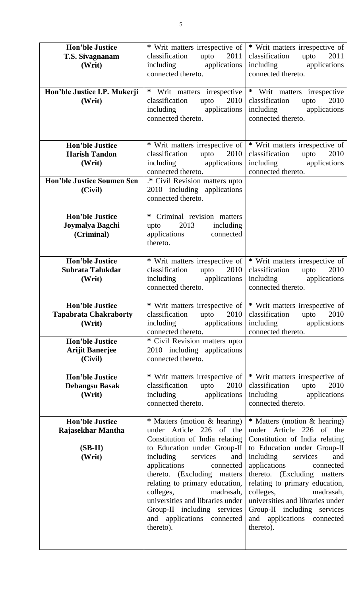| <b>Hon'ble Justice</b><br>T.S. Sivagnanam<br>(Writ)                       | * Writ matters irrespective of<br>classification<br>upto<br>2011<br>including applications<br>connected thereto.                                                                                                                                                                                                                                                                                | * Writ matters irrespective of<br>classification<br>upto<br>2011<br>including applications<br>connected thereto.                                                                                                                                                                                                                                                                                |
|---------------------------------------------------------------------------|-------------------------------------------------------------------------------------------------------------------------------------------------------------------------------------------------------------------------------------------------------------------------------------------------------------------------------------------------------------------------------------------------|-------------------------------------------------------------------------------------------------------------------------------------------------------------------------------------------------------------------------------------------------------------------------------------------------------------------------------------------------------------------------------------------------|
| Hon'ble Justice I.P. Mukerji<br>(Writ)                                    | * Writ matters irrespective<br>classification<br>2010<br>upto<br>including applications<br>connected thereto.                                                                                                                                                                                                                                                                                   | * Writ matters irrespective<br>classification<br>2010<br>upto<br>including applications<br>connected thereto.                                                                                                                                                                                                                                                                                   |
| <b>Hon'ble Justice</b><br><b>Harish Tandon</b><br>(Writ)                  | * Writ matters irrespective of<br>classification upto<br>2010<br>including applications<br>connected thereto.                                                                                                                                                                                                                                                                                   | * Writ matters irrespective of<br>classification<br>upto<br>2010<br>including applications<br>connected thereto.                                                                                                                                                                                                                                                                                |
| <b>Hon'ble Justice Soumen Sen</b><br>(Civil)                              | .* Civil Revision matters upto<br>2010 including applications<br>connected thereto.                                                                                                                                                                                                                                                                                                             |                                                                                                                                                                                                                                                                                                                                                                                                 |
| <b>Hon'ble Justice</b><br>Joymalya Bagchi<br>(Criminal)                   | * Criminal revision matters<br>2013<br>including<br>upto<br>applications<br>connected<br>thereto.                                                                                                                                                                                                                                                                                               |                                                                                                                                                                                                                                                                                                                                                                                                 |
| <b>Hon'ble Justice</b><br>Subrata Talukdar<br>(Writ)                      | * Writ matters irrespective of<br>classification<br>upto $2010$<br>including applications<br>connected thereto.                                                                                                                                                                                                                                                                                 | * Writ matters irrespective of<br>classification upto<br>2010<br>including applications<br>connected thereto.                                                                                                                                                                                                                                                                                   |
| <b>Hon'ble Justice</b><br><b>Tapabrata Chakraborty</b><br>(Writ)          | 2010<br>classification<br>upto<br>including applications<br>connected thereto.                                                                                                                                                                                                                                                                                                                  | * Writ matters irrespective of   * Writ matters irrespective of<br>2010<br>classification<br>upto<br>including applications<br>connected thereto.                                                                                                                                                                                                                                               |
| <b>Hon'ble Justice</b><br><b>Arijit Banerjee</b><br>(Civil)               | * Civil Revision matters upto<br>2010 including applications<br>connected thereto.                                                                                                                                                                                                                                                                                                              |                                                                                                                                                                                                                                                                                                                                                                                                 |
| <b>Hon'ble Justice</b><br><b>Debangsu Basak</b><br>(Writ)                 | * Writ matters irrespective of<br>classification<br>upto<br>2010<br>including applications<br>connected thereto.                                                                                                                                                                                                                                                                                | * Writ matters irrespective of<br>classification<br>2010<br>upto<br>including applications<br>connected thereto.                                                                                                                                                                                                                                                                                |
| <b>Hon'ble Justice</b><br><b>Rajasekhar Mantha</b><br>$(SB-II)$<br>(Writ) | * Matters (motion & hearing)<br>under Article 226 of the<br>Constitution of India relating<br>to Education under Group-II<br>including<br>services<br>and<br>applications<br>connected<br>thereto. (Excluding matters<br>relating to primary education,<br>colleges,<br>madrasah,<br>universities and libraries under<br>Group-II including services<br>and applications connected<br>thereto). | * Matters (motion & hearing)<br>under Article 226 of the<br>Constitution of India relating<br>to Education under Group-II<br>including<br>services<br>and<br>applications<br>connected<br>thereto. (Excluding matters<br>relating to primary education,<br>colleges,<br>madrasah,<br>universities and libraries under<br>Group-II including services<br>and applications connected<br>thereto). |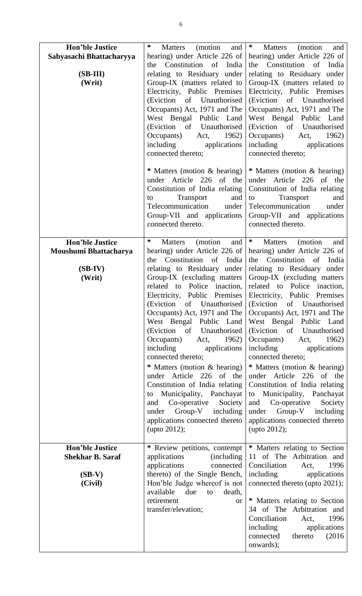| <b>Hon'ble Justice</b>                                                   | ∗<br>and<br><b>Matters</b><br>(motion)                                                                                                                                                                                                                                                                                                                                                                                                                                                                                                                                      | $\ast$<br>Matters<br>(motion)<br>and                                                                                                                                                                                                                                                                                                                                                                                                                                                                                                                                                                                              |
|--------------------------------------------------------------------------|-----------------------------------------------------------------------------------------------------------------------------------------------------------------------------------------------------------------------------------------------------------------------------------------------------------------------------------------------------------------------------------------------------------------------------------------------------------------------------------------------------------------------------------------------------------------------------|-----------------------------------------------------------------------------------------------------------------------------------------------------------------------------------------------------------------------------------------------------------------------------------------------------------------------------------------------------------------------------------------------------------------------------------------------------------------------------------------------------------------------------------------------------------------------------------------------------------------------------------|
| Sabyasachi Bhattacharyya<br>$(SB-III)$<br>(Writ)                         | hearing) under Article 226 of<br>the Constitution of India<br>relating to Residuary under<br>Group-IX (matters related to<br>Electricity, Public Premises<br>(Eviction of Unauthorised<br>Occupants) Act, 1971 and The<br>West Bengal Public Land<br>(Eviction of Unauthorised<br>Occupants)<br>Act, $1962$<br>including applications<br>connected thereto;                                                                                                                                                                                                                 | hearing) under Article 226 of<br>the Constitution of<br>India<br>relating to Residuary under<br>Group-IX (matters related to<br>Electricity, Public Premises<br>(Eviction of Unauthorised<br>Occupants) Act, 1971 and The<br>West Bengal Public Land<br>(Eviction of Unauthorised<br>Occupants) Act, 1962)<br>including applications<br>connected thereto;                                                                                                                                                                                                                                                                        |
|                                                                          | * Matters (motion & hearing)<br>under Article 226 of the<br>Constitution of India relating<br>Transport<br>and<br>to<br>Telecommunication under<br>Group-VII and applications<br>connected thereto.                                                                                                                                                                                                                                                                                                                                                                         | * Matters (motion & hearing)<br>under Article 226 of the<br>Constitution of India relating<br>to<br>Transport<br>and<br>Telecommunication<br>under<br>Group-VII and applications<br>connected thereto.                                                                                                                                                                                                                                                                                                                                                                                                                            |
| <b>Hon'ble Justice</b><br>Moushumi Bhattacharya                          | ∗<br>(motion)<br>and<br>Matters<br>hearing) under Article 226 of                                                                                                                                                                                                                                                                                                                                                                                                                                                                                                            | $\ast$<br><b>Matters</b><br>(motion)<br>and<br>hearing) under Article 226 of                                                                                                                                                                                                                                                                                                                                                                                                                                                                                                                                                      |
| $(SB-IV)$<br>(Writ)                                                      | Constitution of India<br>the<br>relating to Residuary under<br>Group-IX (excluding matters<br>related to Police inaction,<br>Electricity, Public Premises<br>Occupants) Act, 1971 and The<br>West Bengal Public Land<br>(Eviction of Unauthorised<br>Occupants)<br>Act, 1962)<br>including<br>applications<br>connected thereto;<br>* Matters (motion & hearing)<br>under Article 226 of the<br>Constitution of India relating<br>to Municipality, Panchayat<br>Co-operative<br>Society<br>and<br>under Group-V including<br>applications connected thereto<br>(upto 2012); | the Constitution of<br>India<br>relating to Residuary under<br>Group-IX (excluding matters<br>related to Police inaction,<br>Electricity, Public Premises<br>(Eviction of Unauthorised Eviction of Unauthorised<br>Occupants) Act, 1971 and The<br>West Bengal Public Land<br>(Eviction of Unauthorised<br>Occupants) Act,<br>1962)<br>including<br>applications<br>connected thereto;<br>* Matters (motion & hearing)<br>under Article 226 of the<br>Constitution of India relating<br>to Municipality, Panchayat<br>Co-operative<br>Society<br>and<br>under Group-V including<br>applications connected thereto<br>(upto 2012); |
| <b>Hon'ble Justice</b><br><b>Shekhar B. Saraf</b><br>$(SB-V)$<br>(Civil) | * Review petitions, contempt<br>applications<br><i>(including)</i><br>applications<br>connected<br>thereto) of the Single Bench,<br>Hon'ble Judge whereof is not<br>available<br>due<br>death,<br>to<br>retirement<br><b>or</b><br>transfer/elevation;                                                                                                                                                                                                                                                                                                                      | * Matters relating to Section<br>11 of The Arbitration and<br>Conciliation<br>1996<br>Act,<br>including applications<br>connected thereto (upto 2021);<br>* Matters relating to Section<br>34 of The Arbitration and<br>Conciliation<br>1996<br>Act,<br>including<br>applications<br>connected<br>thereto<br>(2016)<br>onwards);                                                                                                                                                                                                                                                                                                  |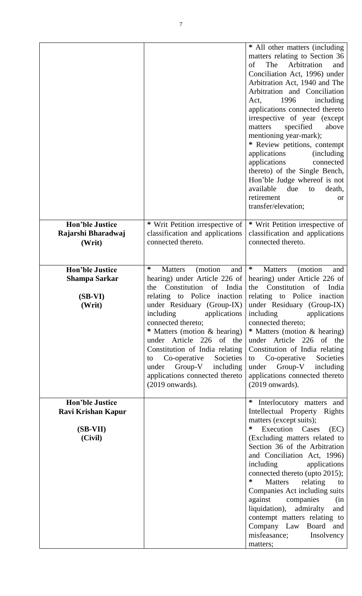|                                                                       |                                                                                                                                                                                                                                                                                                                                                                                                                                                  | * All other matters (including<br>matters relating to Section 36<br>The<br>Arbitration<br>of<br>and<br>Conciliation Act, 1996) under<br>Arbitration Act, 1940 and The<br>Arbitration and Conciliation<br>1996<br>including<br>Act,<br>applications connected thereto<br>irrespective of year (except<br>specified<br>above<br>matters<br>mentioning year-mark);<br>* Review petitions, contempt<br>applications<br><i>(including)</i><br>applications<br>connected<br>thereto) of the Single Bench,<br>Hon'ble Judge whereof is not<br>available<br>due<br>death,<br>to<br>retirement<br><b>or</b><br>transfer/elevation; |
|-----------------------------------------------------------------------|--------------------------------------------------------------------------------------------------------------------------------------------------------------------------------------------------------------------------------------------------------------------------------------------------------------------------------------------------------------------------------------------------------------------------------------------------|---------------------------------------------------------------------------------------------------------------------------------------------------------------------------------------------------------------------------------------------------------------------------------------------------------------------------------------------------------------------------------------------------------------------------------------------------------------------------------------------------------------------------------------------------------------------------------------------------------------------------|
| <b>Hon'ble Justice</b><br>Rajarshi Bharadwaj<br>(Writ)                | * Writ Petition irrespective of<br>classification and applications<br>connected thereto.                                                                                                                                                                                                                                                                                                                                                         | * Writ Petition irrespective of<br>classification and applications<br>connected thereto.                                                                                                                                                                                                                                                                                                                                                                                                                                                                                                                                  |
| <b>Hon'ble Justice</b><br>Shampa Sarkar<br>$(SB-VI)$<br>(Writ)        | *<br>(motion)<br><b>Matters</b><br>and<br>hearing) under Article 226 of<br>Constitution of India<br>the<br>relating to Police inaction<br>under Residuary (Group-IX)<br>including<br>applications<br>connected thereto;<br>* Matters (motion & hearing)<br>under Article 226 of the<br>Constitution of India relating<br>Co-operative<br>Societies<br>to<br>Group-V<br>including<br>under<br>applications connected thereto<br>$(2019$ onwards). | $\ast$<br>(motion<br><b>Matters</b><br>and<br>hearing) under Article 226 of<br>Constitution of India<br>the<br>relating to Police inaction<br>under Residuary (Group-IX)<br>including<br>applications<br>connected thereto;<br>* Matters (motion & hearing)<br>under Article 226 of the<br>Constitution of India relating<br>Co-operative<br>Societies<br>to<br>Group-V<br>under<br>including<br>applications connected thereto<br>$(2019$ onwards).                                                                                                                                                                      |
| <b>Hon'ble Justice</b><br>Ravi Krishan Kapur<br>$(SB-VII)$<br>(Civil) |                                                                                                                                                                                                                                                                                                                                                                                                                                                  | ∗<br>Interlocutory matters and<br>Intellectual Property Rights<br>matters (except suits);<br>∗<br>Execution Cases<br>(EC)<br>(Excluding matters related to<br>Section 36 of the Arbitration<br>and Conciliation Act, 1996)<br>including<br>applications<br>connected thereto (upto 2015);<br>∗<br>Matters<br>relating<br>$\overline{\mathbf{t}}$<br>Companies Act including suits<br>against companies<br>(in<br>admiralty<br>liquidation),<br>and<br>contempt matters relating to<br>Company Law Board and<br>misfeasance;<br>Insolvency<br>matters;                                                                     |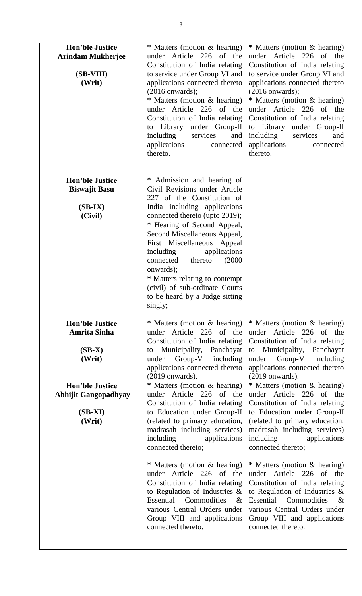| <b>Hon'ble Justice</b><br><b>Arindam Mukherjee</b><br>(SB-VIII)<br>(Writ)                                                                    | * Matters (motion & hearing)<br>under Article 226 of the<br>Constitution of India relating<br>to service under Group VI and<br>applications connected thereto<br>$(2016$ onwards);<br>* Matters (motion & hearing)<br>under Article 226 of the<br>Constitution of India relating<br>to Library<br>under Group-II<br>including<br>services<br>and<br>applications<br>connected<br>thereto.                                                                                                                                                                                                                                                                                                                               | * Matters (motion & hearing)<br>under Article 226 of the<br>Constitution of India relating<br>to service under Group VI and<br>applications connected thereto<br>$(2016$ onwards);<br>* Matters (motion & hearing)<br>under Article 226 of the<br>Constitution of India relating<br>to Library under Group-II<br>including<br>services<br>and<br>applications<br>connected<br>thereto.                                                                                                                                                                                                                                                                                                                                  |
|----------------------------------------------------------------------------------------------------------------------------------------------|-------------------------------------------------------------------------------------------------------------------------------------------------------------------------------------------------------------------------------------------------------------------------------------------------------------------------------------------------------------------------------------------------------------------------------------------------------------------------------------------------------------------------------------------------------------------------------------------------------------------------------------------------------------------------------------------------------------------------|-------------------------------------------------------------------------------------------------------------------------------------------------------------------------------------------------------------------------------------------------------------------------------------------------------------------------------------------------------------------------------------------------------------------------------------------------------------------------------------------------------------------------------------------------------------------------------------------------------------------------------------------------------------------------------------------------------------------------|
| <b>Hon'ble Justice</b><br><b>Biswajit Basu</b><br>$(SB-IX)$<br>(Civil)                                                                       | * Admission and hearing of<br>Civil Revisions under Article<br>227 of the Constitution of<br>India including applications<br>connected thereto (upto 2019);<br>* Hearing of Second Appeal,<br>Second Miscellaneous Appeal,<br>First Miscellaneous Appeal<br>applications<br>including<br>(2000)<br>connected<br>thereto<br>onwards);<br>* Matters relating to contempt<br>(civil) of sub-ordinate Courts<br>to be heard by a Judge sitting<br>singly;                                                                                                                                                                                                                                                                   |                                                                                                                                                                                                                                                                                                                                                                                                                                                                                                                                                                                                                                                                                                                         |
| <b>Hon'ble Justice</b><br><b>Amrita Sinha</b><br>$(SB-X)$<br>(Writ)<br><b>Hon'ble Justice</b><br>Abhijit Gangopadhyay<br>$(SB-XI)$<br>(Writ) | * Matters (motion & hearing)<br>under Article 226 of the<br>Constitution of India relating<br>to Municipality, Panchayat<br>Group-V including<br>under<br>applications connected thereto<br>$(2019$ onwards).<br>* Matters (motion & hearing)<br>under Article 226 of the<br>Constitution of India relating<br>to Education under Group-II<br>(related to primary education,<br>madrasah including services)<br>including<br>applications<br>connected thereto;<br>* Matters (motion & hearing)<br>under Article 226 of the<br>Constitution of India relating<br>to Regulation of Industries $\&$<br>Essential Commodities<br>$\&$<br>various Central Orders under<br>Group VIII and applications<br>connected thereto. | * Matters (motion & hearing)<br>under Article 226 of the<br>Constitution of India relating<br>Municipality, Panchayat<br>to<br>under Group-V including<br>applications connected thereto<br>$(2019$ onwards).<br>* Matters (motion & hearing)<br>under Article 226 of the<br>Constitution of India relating<br>to Education under Group-II<br>(related to primary education,<br>madrasah including services)<br>including<br>applications<br>connected thereto;<br>* Matters (motion & hearing)<br>under Article 226 of the<br>Constitution of India relating<br>to Regulation of Industries $\&$<br>Essential Commodities<br>$\&$<br>various Central Orders under<br>Group VIII and applications<br>connected thereto. |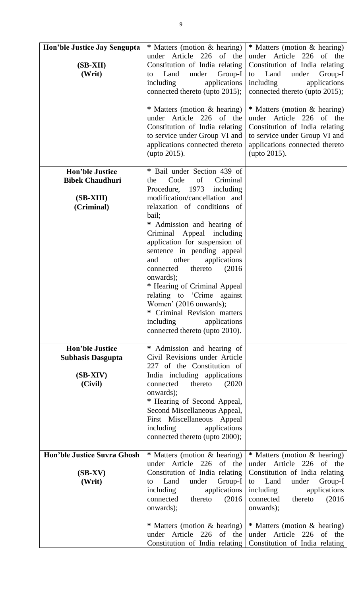| Hon'ble Justice Jay Sengupta<br>$(SB-XII)$<br>(Writ)                                                              | * Matters (motion & hearing)<br>under Article 226 of the<br>Constitution of India relating<br>under Group-I<br>Land<br>to<br>including<br>applications<br>connected thereto (upto 2015);<br>* Matters (motion & hearing)<br>under Article 226 of the<br>Constitution of India relating<br>to service under Group VI and<br>applications connected thereto<br>(upto 2015).                                                                                                                                                                                            | * Matters (motion & hearing)<br>under Article 226 of the<br>Constitution of India relating<br>to Land<br>under<br>Group-I<br>including<br>applications<br>connected thereto (upto 2015);<br>* Matters (motion & hearing)<br>under Article 226 of the<br>Constitution of India relating<br>to service under Group VI and<br>applications connected thereto<br>(upto 2015). |
|-------------------------------------------------------------------------------------------------------------------|----------------------------------------------------------------------------------------------------------------------------------------------------------------------------------------------------------------------------------------------------------------------------------------------------------------------------------------------------------------------------------------------------------------------------------------------------------------------------------------------------------------------------------------------------------------------|---------------------------------------------------------------------------------------------------------------------------------------------------------------------------------------------------------------------------------------------------------------------------------------------------------------------------------------------------------------------------|
| <b>Hon'ble Justice</b><br><b>Bibek Chaudhuri</b><br>(SB-XIII)<br>(Criminal)                                       | * Bail under Section 439 of<br>Code<br>of<br>Criminal<br>the<br>Procedure, 1973<br>including<br>modification/cancellation and<br>relaxation of conditions of<br>bail;<br>* Admission and hearing of<br>Criminal Appeal including<br>application for suspension of<br>sentence in pending appeal<br>applications<br>other<br>and<br>(2016)<br>connected<br>thereto<br>onwards);<br>* Hearing of Criminal Appeal<br>relating to 'Crime against<br>Women' (2016 onwards);<br>* Criminal Revision matters<br>applications<br>including<br>connected thereto (upto 2010). |                                                                                                                                                                                                                                                                                                                                                                           |
| <b>Hon'ble Justice</b><br><b>Subhasis Dasgupta</b><br>$(SB-XIV)$<br>(Civil)<br><b>Hon'ble Justice Suvra Ghosh</b> | * Admission and hearing of<br>Civil Revisions under Article<br>227 of the Constitution of<br>India including applications<br>thereto<br>(2020)<br>connected<br>onwards);<br>* Hearing of Second Appeal,<br>Second Miscellaneous Appeal,<br>First Miscellaneous Appeal<br>applications<br>including<br>connected thereto (upto 2000);<br>* Matters (motion & hearing)                                                                                                                                                                                                 | * Matters (motion & hearing)                                                                                                                                                                                                                                                                                                                                              |
| $(SB-XV)$<br>(Writ)                                                                                               | under Article 226 of the<br>Constitution of India relating<br>Land<br>under<br>Group-I<br>to<br>applications<br>including<br>connected<br>thereto<br>(2016)<br>onwards);<br>* Matters (motion & hearing)<br>under Article 226 of the<br>Constitution of India relating                                                                                                                                                                                                                                                                                               | under Article 226<br>of<br>the<br>Constitution of India relating<br>Land<br>Group-I<br>under<br>to<br>applications<br>including<br>connected<br>thereto<br>(2016)<br>onwards);<br>* Matters (motion & hearing)<br>under Article 226<br>of the<br>Constitution of India relating                                                                                           |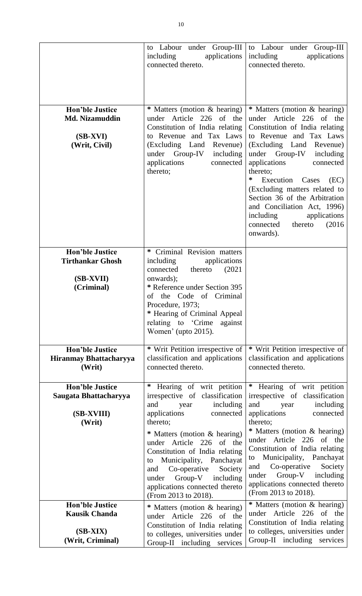|                                                                                  | to Labour under Group-III<br>including<br>applications<br>connected thereto.                                                                                                                                                                                                       | to Labour under Group-III<br>including<br>applications<br>connected thereto.                                                                                                                                                                                                                                                                                                                                                                 |
|----------------------------------------------------------------------------------|------------------------------------------------------------------------------------------------------------------------------------------------------------------------------------------------------------------------------------------------------------------------------------|----------------------------------------------------------------------------------------------------------------------------------------------------------------------------------------------------------------------------------------------------------------------------------------------------------------------------------------------------------------------------------------------------------------------------------------------|
| <b>Hon'ble Justice</b><br>Md. Nizamuddin<br>$(SB-XVI)$<br>(Writ, Civil)          | * Matters (motion & hearing)<br>under Article 226 of the<br>Constitution of India relating<br>to Revenue and Tax Laws<br>(Excluding Land<br>Revenue)<br>Group-IV<br>under<br>including<br>applications<br>connected<br>thereto;                                                    | * Matters (motion & hearing)<br>under Article 226 of the<br>Constitution of India relating<br>to Revenue and Tax Laws<br>(Excluding Land<br>Revenue)<br>under Group-IV<br>including<br>applications<br>connected<br>thereto;<br>∗<br>Execution<br>Cases<br>(EC)<br>(Excluding matters related to<br>Section 36 of the Arbitration<br>and Conciliation Act, 1996)<br>including<br>applications<br>thereto<br>(2016)<br>connected<br>onwards). |
| <b>Hon'ble Justice</b><br><b>Tirthankar Ghosh</b><br>(SB-XVII)<br>(Criminal)     | Criminal Revision matters<br>∗<br>including<br>applications<br>thereto<br>(2021)<br>connected<br>onwards);<br>* Reference under Section 395<br>of the Code of Criminal<br>Procedure, 1973;<br>* Hearing of Criminal Appeal<br>relating to 'Crime<br>against<br>Women' (upto 2015). |                                                                                                                                                                                                                                                                                                                                                                                                                                              |
| <b>Hon'ble Justice</b><br>Hiranmay Bhattacharyya<br>(Writ)                       | * Writ Petition irrespective of<br>classification and applications<br>connected thereto.                                                                                                                                                                                           | * Writ Petition irrespective of<br>classification and applications<br>connected thereto.                                                                                                                                                                                                                                                                                                                                                     |
| <b>Hon'ble Justice</b><br>Saugata Bhattacharyya<br>(SB-XVIII)<br>(Writ)          | Hearing of writ petition<br>∗<br>irrespective of classification<br>including<br>and<br>year<br>applications<br>connected<br>thereto;                                                                                                                                               | * Hearing of writ petition<br>irrespective of classification<br>including<br>and<br>year<br>applications<br>connected<br>thereto;                                                                                                                                                                                                                                                                                                            |
|                                                                                  | * Matters (motion & hearing)<br>under Article 226 of the<br>Constitution of India relating<br>to Municipality, Panchayat<br>Co-operative<br>Society<br>and<br>under Group-V including<br>applications connected thereto<br>(From 2013 to 2018).                                    | * Matters (motion & hearing)<br>under Article 226 of the<br>Constitution of India relating<br>to Municipality, Panchayat<br>Co-operative<br>Society<br>and<br>Group-V including<br>under<br>applications connected thereto<br>(From 2013 to 2018).                                                                                                                                                                                           |
| <b>Hon'ble Justice</b><br><b>Kausik Chanda</b><br>$(SB-XIX)$<br>(Writ, Criminal) | * Matters (motion & hearing)<br>under Article 226 of the<br>Constitution of India relating<br>to colleges, universities under<br>Group-II including services                                                                                                                       | * Matters (motion & hearing)<br>under Article 226 of the<br>Constitution of India relating<br>to colleges, universities under<br>Group-II including services                                                                                                                                                                                                                                                                                 |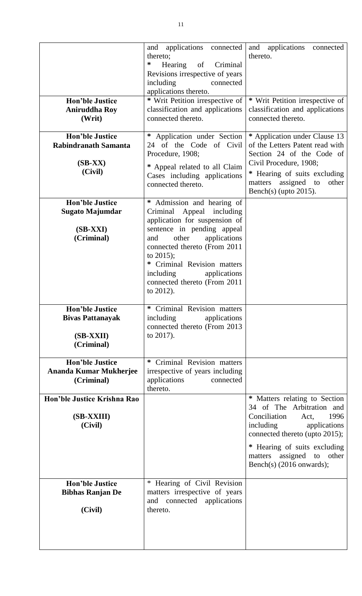|                                                                                | applications<br>and<br>connected<br>thereto;<br>∗<br>Hearing<br>of Criminal<br>Revisions irrespective of years<br>including<br>connected<br>applications thereto.                                                                                                                                                 | applications<br>and<br>connected<br>thereto.                                                                                                                                                                                                                  |
|--------------------------------------------------------------------------------|-------------------------------------------------------------------------------------------------------------------------------------------------------------------------------------------------------------------------------------------------------------------------------------------------------------------|---------------------------------------------------------------------------------------------------------------------------------------------------------------------------------------------------------------------------------------------------------------|
| <b>Hon'ble Justice</b><br><b>Aniruddha Roy</b><br>(Writ)                       | * Writ Petition irrespective of<br>classification and applications<br>connected thereto.                                                                                                                                                                                                                          | * Writ Petition irrespective of<br>classification and applications<br>connected thereto.                                                                                                                                                                      |
| <b>Hon'ble Justice</b><br><b>Rabindranath Samanta</b><br>$(SB-XX)$<br>(Civil)  | $\ast$<br>Application under Section<br>24 of the Code of Civil<br>Procedure, 1908;<br>* Appeal related to all Claim<br>Cases including applications<br>connected thereto.                                                                                                                                         | * Application under Clause 13<br>of the Letters Patent read with<br>Section 24 of the Code of<br>Civil Procedure, 1908;<br>* Hearing of suits excluding<br>assigned<br>other<br>matters<br>to<br>Bench(s) (upto $2015$ ).                                     |
| <b>Hon'ble Justice</b><br>Sugato Majumdar<br>$(SB-XXI)$<br>(Criminal)          | * Admission and hearing of<br>Appeal including<br>Criminal<br>application for suspension of<br>sentence in pending appeal<br>other<br>applications<br>and<br>connected thereto (From 2011<br>to $2015$ ;<br>* Criminal Revision matters<br>including<br>applications<br>connected thereto (From 2011<br>to 2012). |                                                                                                                                                                                                                                                               |
| <b>Hon'ble Justice</b><br><b>Bivas Pattanayak</b><br>$(SB-XXII)$<br>(Criminal) | Criminal Revision matters<br>applications<br>including<br>connected thereto (From 2013<br>to 2017).                                                                                                                                                                                                               |                                                                                                                                                                                                                                                               |
| <b>Hon'ble Justice</b><br>Ananda Kumar Mukherjee<br>(Criminal)                 | Criminal Revision matters<br>∗<br>irrespective of years including<br>applications<br>connected<br>thereto.                                                                                                                                                                                                        |                                                                                                                                                                                                                                                               |
| Hon'ble Justice Krishna Rao<br>(SB-XXIII)<br>(Civil)                           |                                                                                                                                                                                                                                                                                                                   | * Matters relating to Section<br>34 of The Arbitration and<br>Conciliation<br>1996<br>Act,<br>including<br>applications<br>connected thereto (upto 2015);<br>* Hearing of suits excluding<br>assigned<br>to<br>other<br>matters<br>Bench(s) $(2016$ onwards); |
| <b>Hon'ble Justice</b><br><b>Bibhas Ranjan De</b><br>(Civil)                   | * Hearing of Civil Revision<br>matters irrespective of years<br>and connected applications<br>thereto.                                                                                                                                                                                                            |                                                                                                                                                                                                                                                               |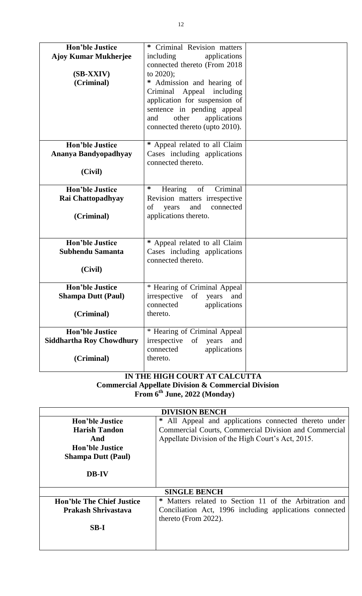| <b>Hon'ble Justice</b>          | Criminal Revision matters<br>∗     |  |
|---------------------------------|------------------------------------|--|
|                                 |                                    |  |
| <b>Ajoy Kumar Mukherjee</b>     | including<br>applications          |  |
|                                 | connected thereto (From 2018       |  |
| (SB-XXIV)                       | to $2020$ ;                        |  |
| (Criminal)                      | Admission and hearing of<br>*      |  |
|                                 | Criminal<br>Appeal including       |  |
|                                 | application for suspension of      |  |
|                                 | sentence in pending appeal         |  |
|                                 | other<br>applications<br>and       |  |
|                                 | connected thereto (upto 2010).     |  |
|                                 |                                    |  |
| <b>Hon'ble Justice</b>          | * Appeal related to all Claim      |  |
| Ananya Bandyopadhyay            | Cases including applications       |  |
|                                 | connected thereto.                 |  |
| (Civil)                         |                                    |  |
|                                 |                                    |  |
| <b>Hon'ble Justice</b>          | ∗<br>Hearing<br>of<br>Criminal     |  |
| <b>Rai Chattopadhyay</b>        | Revision matters irrespective      |  |
|                                 | connected<br>of years<br>and       |  |
| (Criminal)                      | applications thereto.              |  |
|                                 |                                    |  |
|                                 |                                    |  |
| <b>Hon'ble Justice</b>          | * Appeal related to all Claim      |  |
| <b>Subhendu Samanta</b>         | Cases including applications       |  |
|                                 | connected thereto.                 |  |
| (Civil)                         |                                    |  |
|                                 |                                    |  |
| <b>Hon'ble Justice</b>          | * Hearing of Criminal Appeal       |  |
| <b>Shampa Dutt (Paul)</b>       | irrespective<br>of<br>years<br>and |  |
|                                 | connected<br>applications          |  |
| (Criminal)                      | thereto.                           |  |
|                                 |                                    |  |
| <b>Hon'ble Justice</b>          | * Hearing of Criminal Appeal       |  |
| <b>Siddhartha Roy Chowdhury</b> | irrespective<br>of<br>years<br>and |  |
|                                 | applications<br>connected          |  |
| (Criminal)                      | thereto.                           |  |
|                                 |                                    |  |

### **IN THE HIGH COURT AT CALCUTTA Commercial Appellate Division & Commercial Division From 6 th June, 2022 (Monday)**

| <b>DIVISION BENCH</b>            |                                                          |
|----------------------------------|----------------------------------------------------------|
| Hon'ble Justice                  | All Appeal and applications connected thereto under<br>∗ |
| <b>Harish Tandon</b>             | Commercial Courts, Commercial Division and Commercial    |
| And                              | Appellate Division of the High Court's Act, 2015.        |
| Hon'ble Justice                  |                                                          |
| <b>Shampa Dutt (Paul)</b>        |                                                          |
| <b>DB-IV</b>                     |                                                          |
|                                  |                                                          |
| <b>SINGLE BENCH</b>              |                                                          |
| <b>Hon'ble The Chief Justice</b> | * Matters related to Section 11 of the Arbitration and   |
| <b>Prakash Shrivastava</b>       | Conciliation Act, 1996 including applications connected  |
|                                  | thereto (From 2022).                                     |
| SB-I                             |                                                          |
|                                  |                                                          |
|                                  |                                                          |